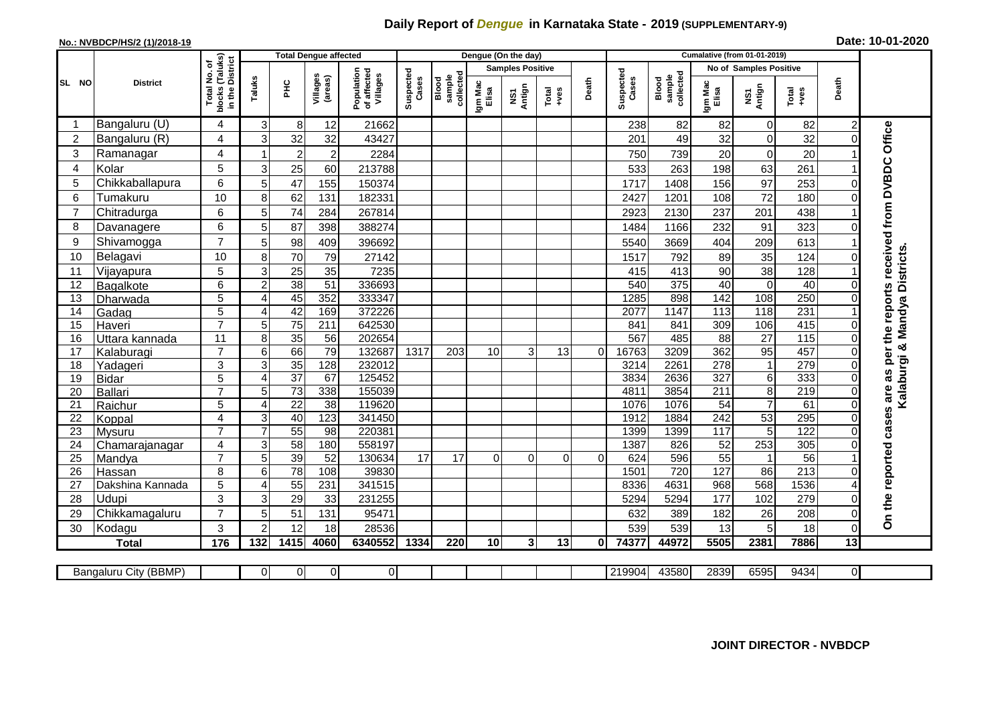## **Daily Report of** *Dengue* **in Karnataka State - 2019 (SUPPLEMENTARY-9)**

## **No.: NVBDCP/HS/2 (1)/2018-19 Date: 10-01-2020**

|                       | <b>District</b>       |                                               | <b>Total Dengue affected</b> |                       |                        |                                       |                    |                              |                         | Dengue (On the day) |               |          |                    |                              |                               |                     |                  |                         |                               |
|-----------------------|-----------------------|-----------------------------------------------|------------------------------|-----------------------|------------------------|---------------------------------------|--------------------|------------------------------|-------------------------|---------------------|---------------|----------|--------------------|------------------------------|-------------------------------|---------------------|------------------|-------------------------|-------------------------------|
|                       |                       | (Taluks)<br>৳                                 |                              |                       |                        | Population<br>of affected<br>Villages | Suspected<br>Cases | collected<br>sample<br>Blood | <b>Samples Positive</b> |                     |               |          |                    |                              | <b>No of Samples Positive</b> |                     |                  |                         |                               |
| SL NO                 |                       | in the District<br>Total No.<br><b>blocks</b> | Taluks                       | 운                     | Villages<br>(areas)    |                                       |                    |                              | Igm Mac<br>Elisa        | Antign<br>ŠΣ        | Total<br>+ves | Death    | Suspected<br>Cases | Blood<br>sample<br>collected | Igm Mac<br>Elisa              | NS1<br>Antign       | Total<br>+ves    | Death                   |                               |
|                       | Bangaluru (U)         | 4                                             | 3                            | 8                     | 12                     | 21662                                 |                    |                              |                         |                     |               |          | 238                | 82                           | 82                            | 0                   | 82               | $\overline{\mathbf{c}}$ |                               |
| $\overline{2}$        | Bangaluru (R)         | 4                                             | 3                            | 32                    | 32                     | 43427                                 |                    |                              |                         |                     |               |          | 201                | 49                           | 32                            | 0                   | 32               |                         | Office                        |
| 3                     | Ramanagar             | 4                                             |                              | $\overline{2}$        | $\overline{2}$         | 2284                                  |                    |                              |                         |                     |               |          | 750                | 739                          | 20                            | $\Omega$            | 20               |                         |                               |
| $\overline{A}$        | Kolar                 | 5                                             | 3                            | 25                    | 60                     | 213788                                |                    |                              |                         |                     |               |          | 533                | 263                          | 198                           | 63                  | 261              |                         |                               |
| 5                     | Chikkaballapura       | 6                                             | 5                            | 47                    | 155                    | 150374                                |                    |                              |                         |                     |               |          | 1717               | 1408                         | 156                           | 97                  | 253              |                         |                               |
| 6                     | Tumakuru              | 10                                            | 8                            | 62                    | 131                    | 182331                                |                    |                              |                         |                     |               |          | 2427               | 1201                         | 108                           | 72                  | 180              |                         |                               |
| $\overline{7}$        | Chitradurga           | 6                                             | 5                            | 74                    | 284                    | 267814                                |                    |                              |                         |                     |               |          | 2923               | 2130                         | 237                           | 201                 | 438              |                         |                               |
| 8                     | Davanagere            | 6                                             | 5                            | 87                    | 398                    | 388274                                |                    |                              |                         |                     |               |          | 1484               | 1166                         | 232                           | 91                  | 323              |                         |                               |
| 9                     | Shivamogga            | $\overline{7}$                                | 5                            | 98                    | 409                    | 396692                                |                    |                              |                         |                     |               |          | 5540               | 3669                         | 404                           | 209                 | 613              |                         | received from DVBDC           |
| 10                    | Belagavi              | 10                                            | 8                            | 70                    | 79                     | 27142                                 |                    |                              |                         |                     |               |          | 1517               | 792                          | 89                            | 35                  | 124              |                         | Kalaburgi & Mandya Districts. |
| 11                    | Vijayapura            | 5                                             | 3                            | 25                    | 35                     | 7235                                  |                    |                              |                         |                     |               |          | 415                | 413                          | 90                            | 38                  | 128              |                         |                               |
| 12                    | Bagalkote             | 6                                             | $\overline{2}$               | 38                    | $\overline{51}$        | 336693                                |                    |                              |                         |                     |               |          | 540                | $\overline{375}$             | 40                            | $\Omega$            | 40               |                         |                               |
| 13                    | Dharwada              | 5                                             | 4                            | 45                    | 352                    | 333347                                |                    |                              |                         |                     |               |          | 1285               | 898                          | $\overline{142}$              | 108                 | 250              |                         | reports                       |
| 14                    | Gadag                 | $\overline{5}$                                | $\overline{4}$               | 42                    | 169                    | 372226                                |                    |                              |                         |                     |               |          | 2077               | 1147                         | 113                           | $\overline{118}$    | 231              |                         |                               |
| 15                    | Haveri                | $\overline{7}$                                | 5                            | $\overline{75}$       | 211                    | 642530                                |                    |                              |                         |                     |               |          | 841                | 841                          | 309                           | 106                 | 415              |                         |                               |
| 16                    | Uttara kannada        | 11                                            | 8 <sup>1</sup>               | 35                    | 56                     | 202654                                |                    |                              |                         |                     |               |          | 567                | 485                          | $\overline{88}$               | $\overline{27}$     | 115              |                         | the                           |
| 17                    | Kalaburagi            | $\overline{7}$                                | $6 \mid$                     | 66                    | 79                     | 132687                                | 1317               | 203                          | 10                      | 3                   | 13            | $\Omega$ | 16763              | 3209                         | 362                           | $\overline{95}$     | 457              |                         | per                           |
| 18                    | Yadageri              | 3                                             | 3                            | 35                    | 128                    | 232012                                |                    |                              |                         |                     |               |          | 3214               | 2261                         | 278                           | 1                   | 279              |                         | as                            |
| 19                    | <b>Bidar</b>          | 5                                             | $\overline{A}$               | $\overline{37}$       | 67                     | 125452                                |                    |                              |                         |                     |               |          | 3834               | 2636                         | 327                           | 6                   | 333              |                         |                               |
| 20                    | Ballari               | $\overline{7}$                                | 5                            | 73                    | 338                    | 155039                                |                    |                              |                         |                     |               |          | 4811               | 3854                         | 211                           | 8<br>$\overline{7}$ | 219              |                         | are                           |
| 21<br>$\overline{22}$ | Raichur               | 5<br>$\overline{4}$                           | 4<br>3                       | $\overline{22}$<br>40 | $\overline{38}$<br>123 | 119620<br>341450                      |                    |                              |                         |                     |               |          | 1076<br>1912       | 1076<br>1884                 | $\overline{54}$<br>242        | 53                  | 61<br>295        |                         |                               |
| $\overline{23}$       | Koppal<br>Mysuru      | $\overline{7}$                                |                              | 55                    | 98                     | 220381                                |                    |                              |                         |                     |               |          | 1399               | 1399                         | 117                           | 5                   | 122              |                         | cases                         |
| 24                    | Chamarajanagar        | 4                                             | 3                            | 58                    | 180                    | 558197                                |                    |                              |                         |                     |               |          | 1387               | 826                          | 52                            | 253                 | 305              |                         |                               |
| 25                    | Mandya                | $\overline{7}$                                | 5                            | 39                    | $\overline{52}$        | 130634                                | 17                 | $\overline{17}$              | $\Omega$                | $\overline{0}$      | $\Omega$      | $\Omega$ | 624                | 596                          | 55                            |                     | 56               |                         |                               |
| 26                    | Hassan                | 8                                             | 6                            | $\overline{78}$       | 108                    | 39830                                 |                    |                              |                         |                     |               |          | 1501               | 720                          | 127                           | 86                  | $\overline{213}$ |                         |                               |
| 27                    | Dakshina Kannada      | $\overline{5}$                                | $\Delta$                     | 55                    | 231                    | 341515                                |                    |                              |                         |                     |               |          | 8336               | 4631                         | 968                           | 568                 | 1536             |                         |                               |
| 28                    | Udupi                 | 3                                             | 3                            | 29                    | 33                     | 231255                                |                    |                              |                         |                     |               |          | 5294               | 5294                         | 177                           | 102                 | 279              |                         |                               |
| 29                    | Chikkamagaluru        | $\overline{7}$                                | 5                            | 51                    | 131                    | 95471                                 |                    |                              |                         |                     |               |          | 632                | 389                          | 182                           | 26                  | 208              | U                       | On the reported               |
| 30                    | Kodagu                | 3                                             | $\overline{2}$               | 12                    | 18                     | 28536                                 |                    |                              |                         |                     |               |          | 539                | 539                          | 13                            | 5                   | 18               | 0                       |                               |
|                       | <b>Total</b>          | 176                                           | 132                          | 1415                  | 4060                   | 6340552                               | 1334               | 220                          | 10                      | 3                   | 13            | 0        | 74377              | 44972                        | 5505                          | 2381                | 7886             | 13                      |                               |
|                       |                       |                                               |                              |                       |                        |                                       |                    |                              |                         |                     |               |          |                    |                              |                               |                     |                  |                         |                               |
|                       | Bangaluru City (BBMP) |                                               | 01                           | 0                     | 0                      | $\overline{0}$                        |                    |                              |                         |                     |               |          | 219904             | 43580                        | 2839                          | 6595                | 9434             | $\overline{O}$          |                               |